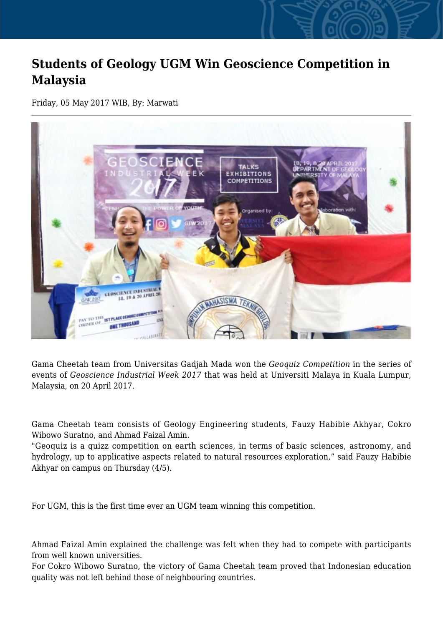## **Students of Geology UGM Win Geoscience Competition in Malaysia**

Friday, 05 May 2017 WIB, By: Marwati



Gama Cheetah team from Universitas Gadjah Mada won the *Geoquiz Competition* in the series of events of *Geoscience Industrial Week 2017* that was held at Universiti Malaya in Kuala Lumpur, Malaysia, on 20 April 2017.

Gama Cheetah team consists of Geology Engineering students, Fauzy Habibie Akhyar, Cokro Wibowo Suratno, and Ahmad Faizal Amin.

"Geoquiz is a quizz competition on earth sciences, in terms of basic sciences, astronomy, and hydrology, up to applicative aspects related to natural resources exploration," said Fauzy Habibie Akhyar on campus on Thursday (4/5).

For UGM, this is the first time ever an UGM team winning this competition.

Ahmad Faizal Amin explained the challenge was felt when they had to compete with participants from well known universities.

For Cokro Wibowo Suratno, the victory of Gama Cheetah team proved that Indonesian education quality was not left behind those of neighbouring countries.